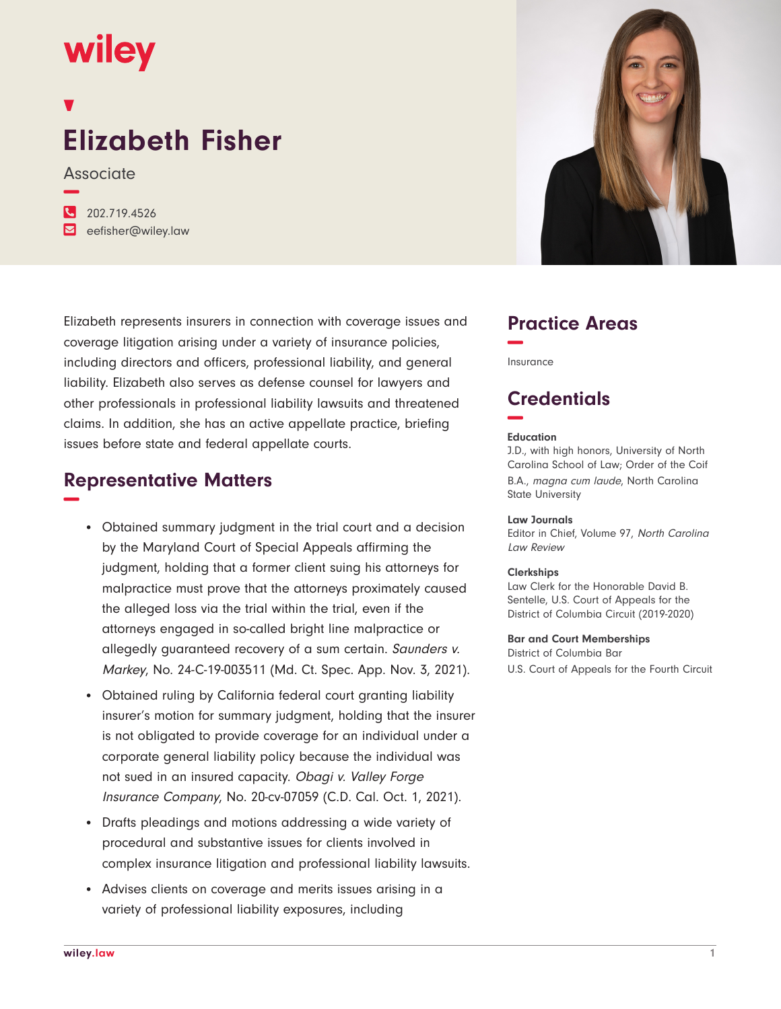## wiley

# **Elizabeth Fisher**

Associate **−**

**�** 202.719.4526 **�** eefisher@wiley.law



## **Representative Matters −**

- Obtained summary judgment in the trial court and a decision by the Maryland Court of Special Appeals affirming the judgment, holding that a former client suing his attorneys for malpractice must prove that the attorneys proximately caused the alleged loss via the trial within the trial, even if the attorneys engaged in so-called bright line malpractice or allegedly guaranteed recovery of a sum certain. Saunders v. Markey, No. 24-C-19-003511 (Md. Ct. Spec. App. Nov. 3, 2021).
- Obtained ruling by California federal court granting liability insurer's motion for summary judgment, holding that the insurer is not obligated to provide coverage for an individual under a corporate general liability policy because the individual was not sued in an insured capacity. Obagi v. Valley Forge Insurance Company, No. 20-cv-07059 (C.D. Cal. Oct. 1, 2021).
- Drafts pleadings and motions addressing a wide variety of procedural and substantive issues for clients involved in complex insurance litigation and professional liability lawsuits.
- Advises clients on coverage and merits issues arising in a variety of professional liability exposures, including



## **Practice Areas −**

Insurance

## **Credentials −**

#### **Education**

J.D., with high honors, University of North Carolina School of Law; Order of the Coif B.A., magna cum laude, North Carolina State University

#### **Law Journals**

Editor in Chief, Volume 97, North Carolina Law Review

#### **Clerkships**

Law Clerk for the Honorable David B. Sentelle, U.S. Court of Appeals for the District of Columbia Circuit (2019-2020)

#### **Bar and Court Memberships**

District of Columbia Bar U.S. Court of Appeals for the Fourth Circuit